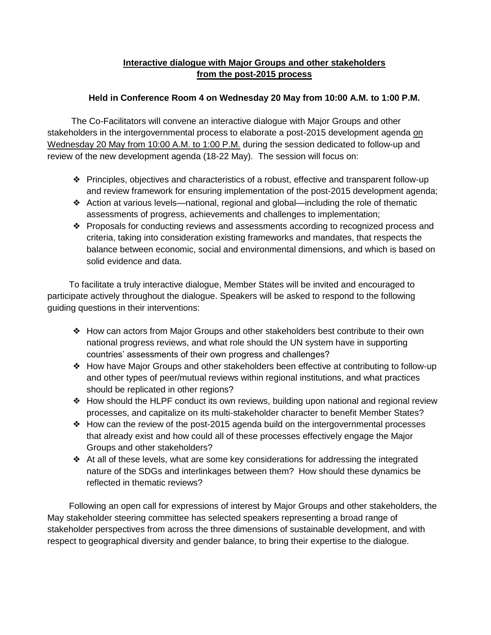## **Interactive dialogue with Major Groups and other stakeholders from the post-2015 process**

## **Held in Conference Room 4 on Wednesday 20 May from 10:00 A.M. to 1:00 P.M.**

The Co-Facilitators will convene an interactive dialogue with Major Groups and other stakeholders in the intergovernmental process to elaborate a post-2015 development agenda on Wednesday 20 May from 10:00 A.M. to 1:00 P.M. during the session dedicated to follow-up and review of the new development agenda (18-22 May). The session will focus on:

- ❖ Principles, objectives and characteristics of a robust, effective and transparent follow-up and review framework for ensuring implementation of the post-2015 development agenda;
- ❖ Action at various levels—national, regional and global—including the role of thematic assessments of progress, achievements and challenges to implementation;
- ❖ Proposals for conducting reviews and assessments according to recognized process and criteria, taking into consideration existing frameworks and mandates, that respects the balance between economic, social and environmental dimensions, and which is based on solid evidence and data.

To facilitate a truly interactive dialogue, Member States will be invited and encouraged to participate actively throughout the dialogue. Speakers will be asked to respond to the following guiding questions in their interventions:

- ❖ How can actors from Major Groups and other stakeholders best contribute to their own national progress reviews, and what role should the UN system have in supporting countries' assessments of their own progress and challenges?
- ❖ How have Major Groups and other stakeholders been effective at contributing to follow-up and other types of peer/mutual reviews within regional institutions, and what practices should be replicated in other regions?
- ❖ How should the HLPF conduct its own reviews, building upon national and regional review processes, and capitalize on its multi-stakeholder character to benefit Member States?
- ❖ How can the review of the post-2015 agenda build on the intergovernmental processes that already exist and how could all of these processes effectively engage the Major Groups and other stakeholders?
- ❖ At all of these levels, what are some key considerations for addressing the integrated nature of the SDGs and interlinkages between them? How should these dynamics be reflected in thematic reviews?

Following an open call for expressions of interest by Major Groups and other stakeholders, the May stakeholder steering committee has selected speakers representing a broad range of stakeholder perspectives from across the three dimensions of sustainable development, and with respect to geographical diversity and gender balance, to bring their expertise to the dialogue.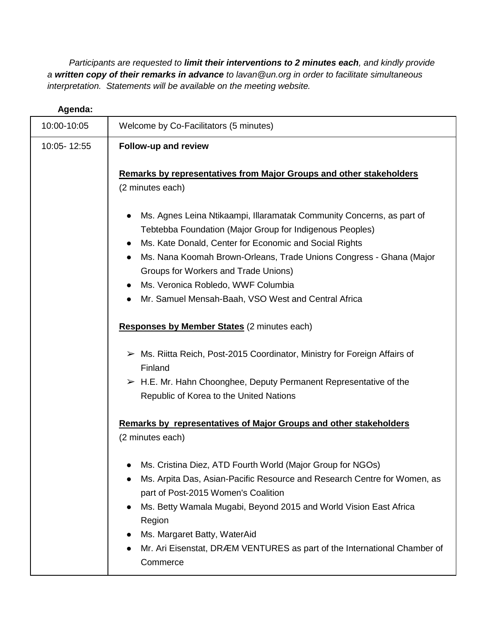*Participants are requested to limit their interventions to 2 minutes each, and kindly provide a written copy of their remarks in advance to lavan@un.org in order to facilitate simultaneous interpretation. Statements will be available on the meeting website.*

| Agenda:     |                                                                                                                                                                                                                                                                                                                                                                                                                                                             |
|-------------|-------------------------------------------------------------------------------------------------------------------------------------------------------------------------------------------------------------------------------------------------------------------------------------------------------------------------------------------------------------------------------------------------------------------------------------------------------------|
| 10:00-10:05 | Welcome by Co-Facilitators (5 minutes)                                                                                                                                                                                                                                                                                                                                                                                                                      |
| 10:05-12:55 | Follow-up and review                                                                                                                                                                                                                                                                                                                                                                                                                                        |
|             | Remarks by representatives from Major Groups and other stakeholders<br>(2 minutes each)                                                                                                                                                                                                                                                                                                                                                                     |
|             | Ms. Agnes Leina Ntikaampi, Illaramatak Community Concerns, as part of<br>Tebtebba Foundation (Major Group for Indigenous Peoples)<br>Ms. Kate Donald, Center for Economic and Social Rights<br>$\bullet$<br>Ms. Nana Koomah Brown-Orleans, Trade Unions Congress - Ghana (Major<br>$\bullet$<br>Groups for Workers and Trade Unions)<br>Ms. Veronica Robledo, WWF Columbia<br>$\bullet$<br>Mr. Samuel Mensah-Baah, VSO West and Central Africa<br>$\bullet$ |
|             | <b>Responses by Member States</b> (2 minutes each)                                                                                                                                                                                                                                                                                                                                                                                                          |
|             | > Ms. Riitta Reich, Post-2015 Coordinator, Ministry for Foreign Affairs of<br>Finland<br>$\triangleright$ H.E. Mr. Hahn Choonghee, Deputy Permanent Representative of the<br>Republic of Korea to the United Nations                                                                                                                                                                                                                                        |
|             | Remarks by representatives of Major Groups and other stakeholders<br>(2 minutes each)                                                                                                                                                                                                                                                                                                                                                                       |
|             | Ms. Cristina Diez, ATD Fourth World (Major Group for NGOs)<br>Ms. Arpita Das, Asian-Pacific Resource and Research Centre for Women, as<br>part of Post-2015 Women's Coalition<br>Ms. Betty Wamala Mugabi, Beyond 2015 and World Vision East Africa<br>$\bullet$<br>Region<br>Ms. Margaret Batty, WaterAid<br>Mr. Ari Eisenstat, DRÆM VENTURES as part of the International Chamber of<br>Commerce                                                           |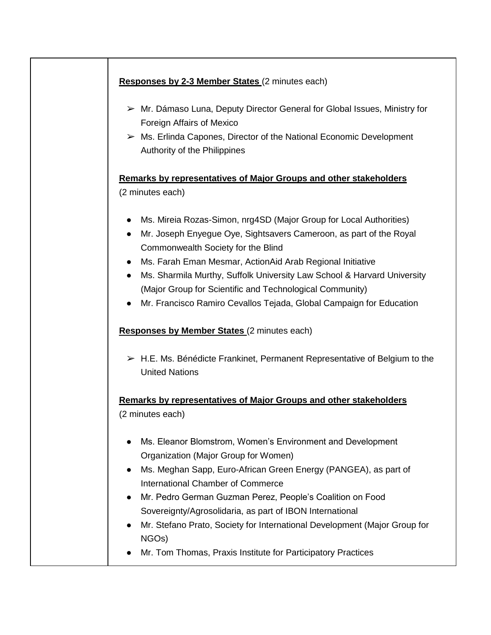